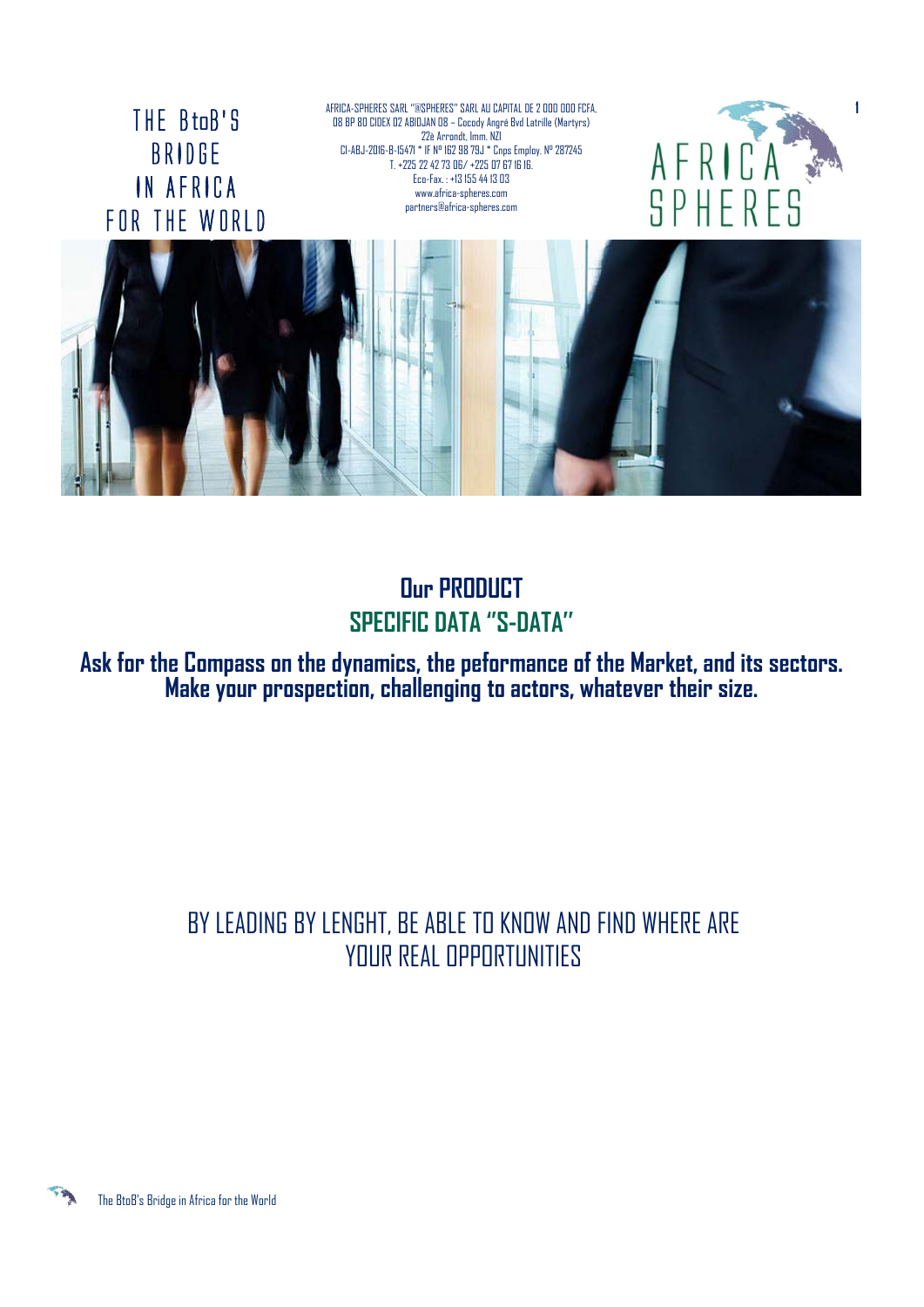THE BtoB'S BRIDGE IN AFRICA FOR THE WORLD AFRICA-SPHERES SARL ''@SPHERES'' SARL AU CAPITAL DE 2 000 000 FCFA, 08 BP 80 CIDEX 02 ABIDJAN 08 – Cocody Angré Bvd Latrille (Martyrs) 22è Arrondt, Imm. NZI CI-ABJ-2016-B-15471 \* IF N° 162 98 79J \* Cnps Employ. N° 287245 T. +225 22 42 73 06/ +225 07 67 16 16. Eco-Fax. : +13 155 44 13 03 www.africa-spheres.com partners@africa-spheres.com





## **Our PRODUCT SPECIFIC DATA ''S-DATA''**

**Ask for the Compass on the dynamics, the peformance of the Market, and its sectors. Make your prospection, challenging to actors, whatever their size.**

# BY LEADING BY LENGHT, BE ABLE TO KNOW AND FIND WHERE ARE YOUR REAL OPPORTUNITIES

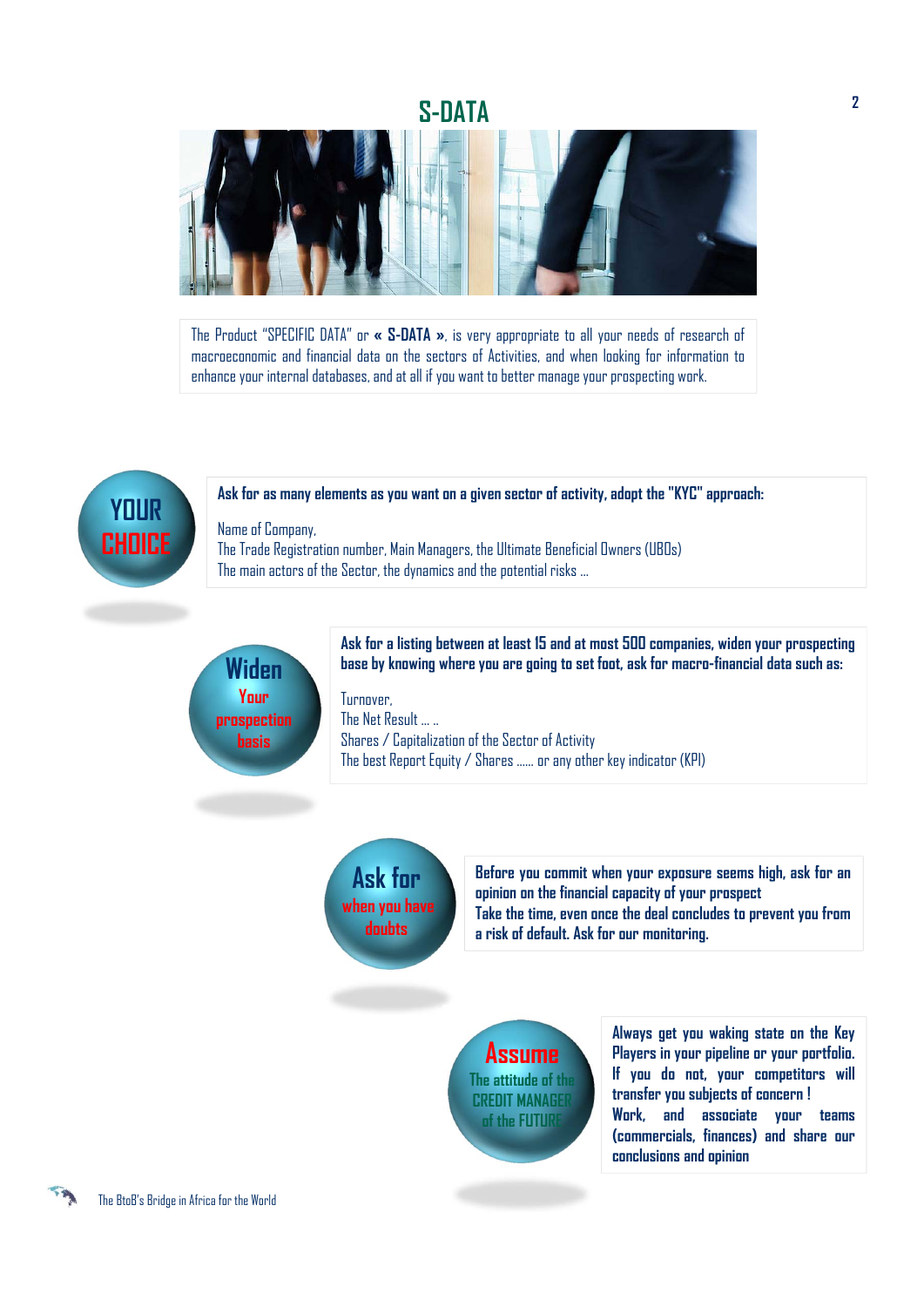#### **S-DATA**



The Product "SPECIFIC DATA" or **« S-DATA »**, is very appropriate to all your needs of research of macroeconomic and financial data on the sectors of Activities, and when looking for information to enhance your internal databases, and at all if you want to better manage your prospecting work.



#### **Ask for as many elements as you want on a given sector of activity, adopt the "KYC" approach:**

Name of Company, The Trade Registration number, Main Managers, the Ultimate Beneficial Owners (UBOs) The main actors of the Sector, the dynamics and the potential risks ...



**Ask for a listing between at least 15 and at most 500 companies, widen your prospecting base by knowing where you are going to set foot, ask for macro-financial data such as:**

**Turnover** The Net Result ... .. Shares / Capitalization of the Sector of Activity The best Report Equity / Shares ...... or any other key indicator (KPI)

**Ask for when you have doubts**

**Before you commit when your exposure seems high, ask for an opinion on the financial capacity of your prospect Take the time, even once the deal concludes to prevent you from a risk of default. Ask for our monitoring.**

**Assume The attitude of the CREDIT MANAGER of the FUTURE**

**Always get you waking state on the Key Players in your pipeline or your portfolio. If you do not, your competitors will transfer you subjects of concern ! Work, and associate your teams (commercials, finances) and share our conclusions and opinion**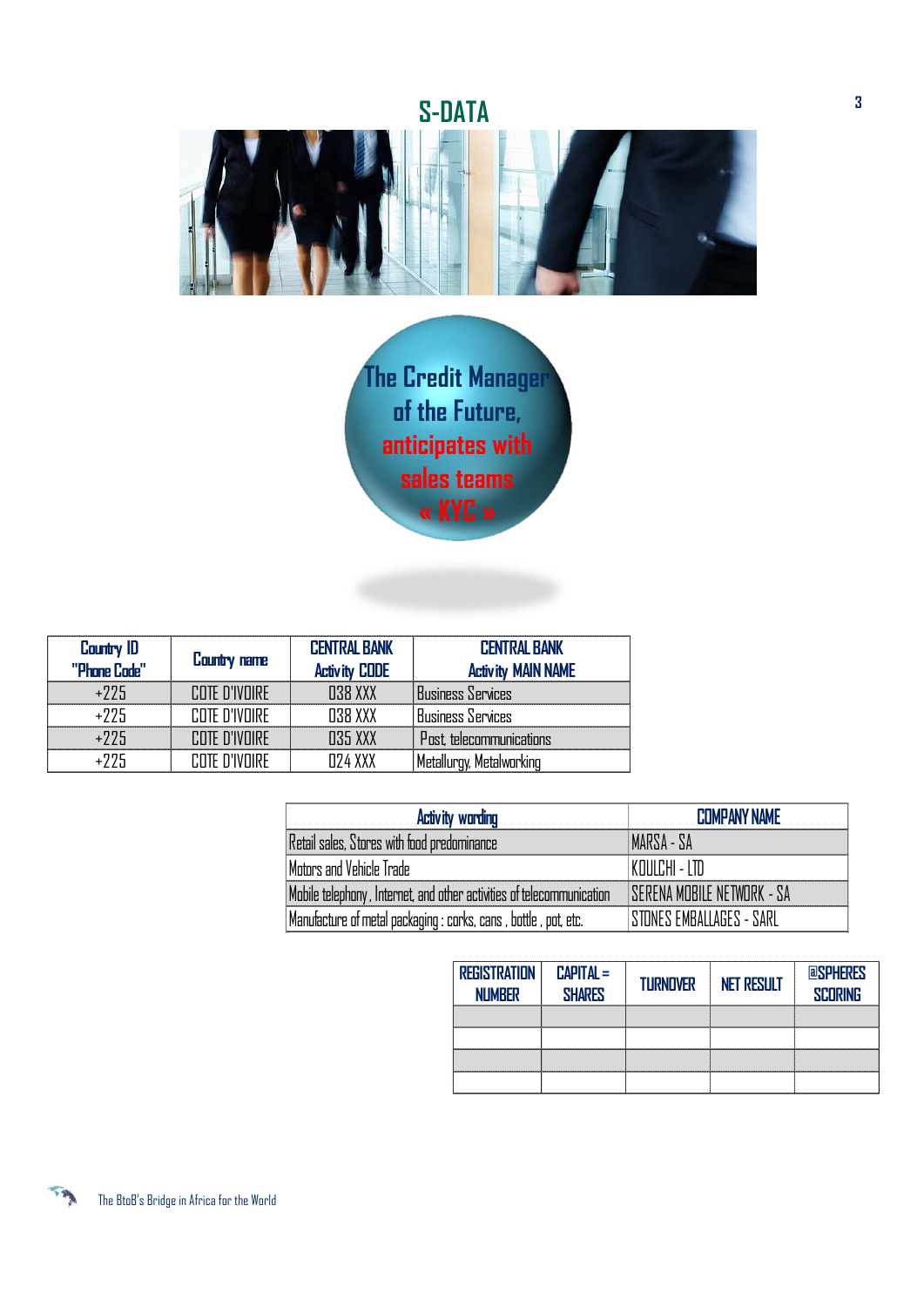## **S-DATA**



**The Credit Manager of the Future, anticipates with sales teams « KYC »**

| Country <b>ID</b><br>"Phone Code" | Country name  | <b>CENTRAL BANK</b><br><b>Activity CODE</b> | <b>CENTRAL BANK</b><br><b>Activity MAIN NAME</b> |
|-----------------------------------|---------------|---------------------------------------------|--------------------------------------------------|
| $+225$                            | COTE D'IVOIRE | 038 XXX                                     | Business Services                                |
| $+225$                            | COTE D'IVOIRE | 038 XXX                                     | Business Services                                |
| $+225$                            | COTE D'IVOIRE | 035 XXX                                     | Post, telecommunications                         |
| $+225$                            | COTE D'IVOIRE | 024 XXX                                     | Metallurgy, Metalworking                         |

| <b>Activity wording</b>                                               | <b>COMPANY NAME</b>                |
|-----------------------------------------------------------------------|------------------------------------|
| Retail sales, Stores with food predominance                           | MARSA - SA                         |
| Motors and Vehicle Trade                                              | I KOULCHI - LTD                    |
| Mobile telephony, Internet, and other activities of telecommunication | <b>ISERENA MOBILE NETWORK - SA</b> |
| Manufacture of metal packaging : corks, cans , bottle , pot, etc.     | ISTONES EMBALLAGES - SARL          |

| <b>REGISTRATION</b><br><b>NUMBER</b> | $CAPITAL =$<br><b>SHARES</b> | <b>TURNOVER</b> | <b>NET RESULT</b> | <b>POSPHERES</b><br><b>SCORING</b> |
|--------------------------------------|------------------------------|-----------------|-------------------|------------------------------------|
|                                      |                              |                 |                   |                                    |
|                                      |                              |                 |                   |                                    |
|                                      |                              |                 |                   |                                    |
|                                      |                              |                 |                   |                                    |

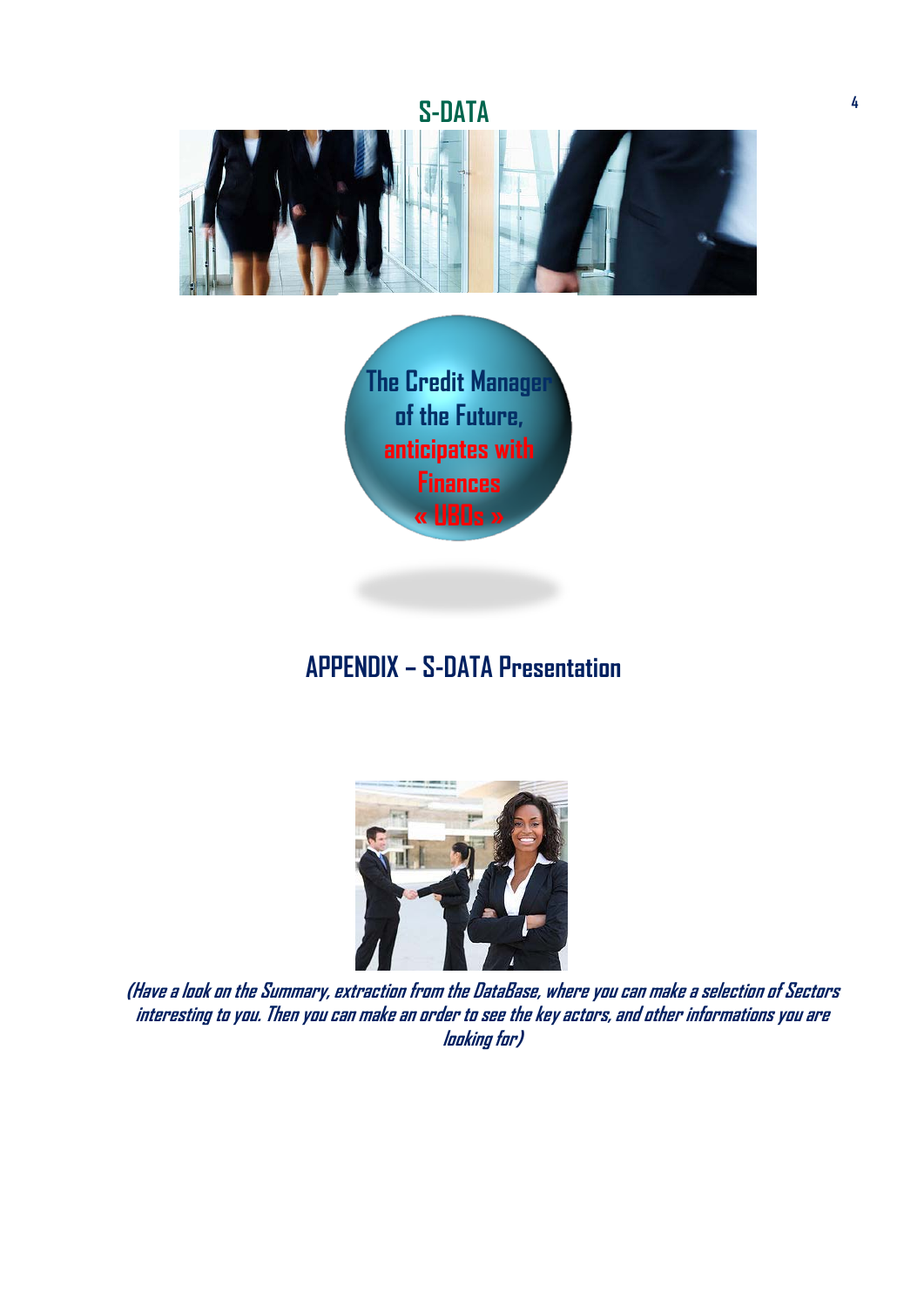**S-DATA**





## **APPENDIX – S-DATA Presentation**



**(Have a look on the Summary, extraction from the DataBase, where you can make a selection of Sectors** interesting to you. Then you can make an order to see the key actors, and other informations you are **looking for)**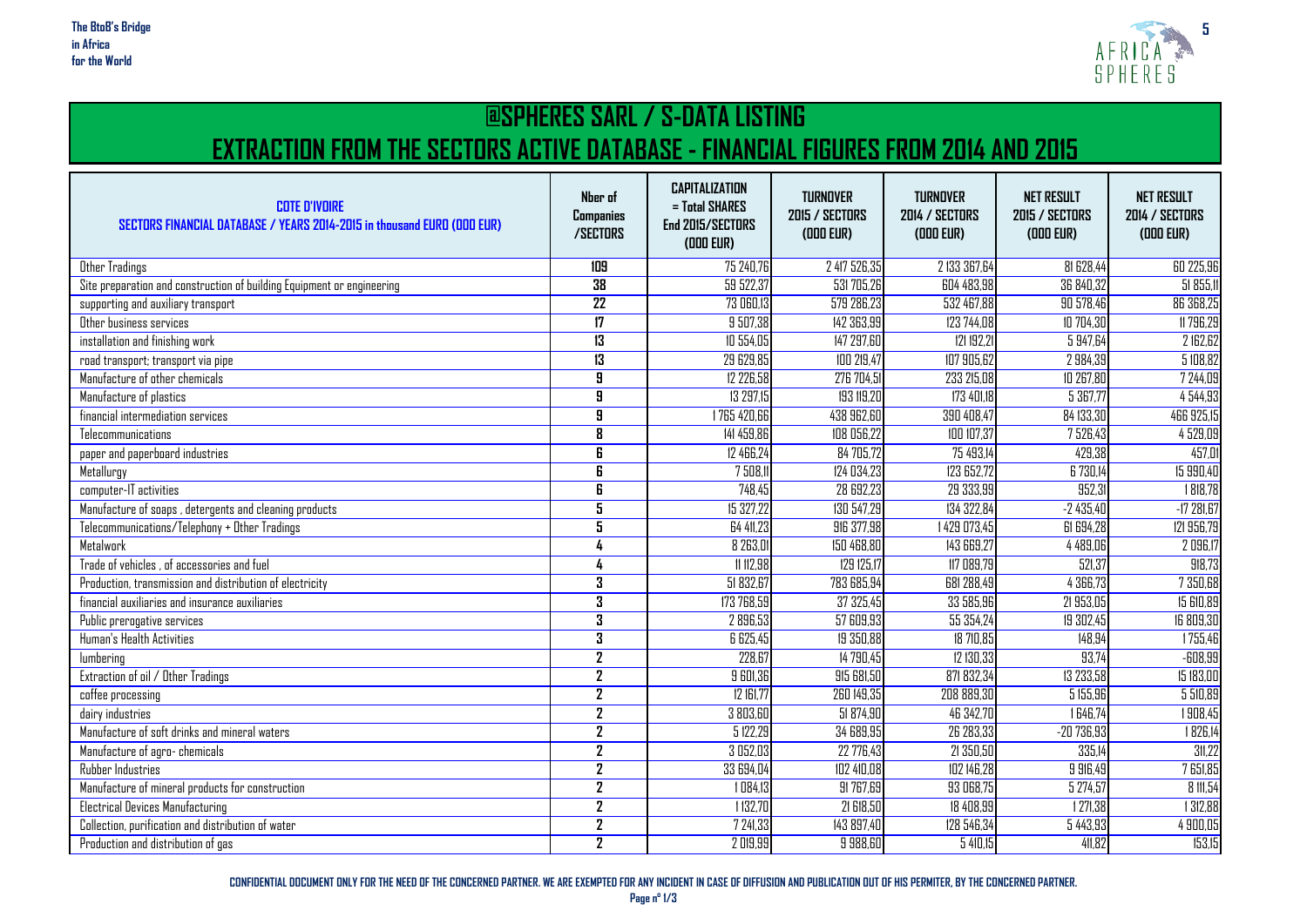

#### **@SPHERES SARL / S-DATA LISTING EXTRACTION FROM THE SECTORS ACTIVE DATABASE - FINANCIAL FIGURES FROM 2014 AND 2015**

| <b>COTE D'IVOIRE</b><br>SECTORS FINANCIAL DATABASE / YEARS 2014-2015 in thousand EURO (ODD EUR) | Nber of<br>Companies<br>/SECTORS | <b>CAPITALIZATION</b><br>$=$ Total SHARES<br>End 2015/SECTORS<br>(DOD EUR) | <b>TURNOVER</b><br>2015 / SECTORS<br>(ODD EUR) | <b>TURNOVER</b><br>2014 / SECTORS<br>(DDD EUR) | <b>NET RESULT</b><br><b>2015 / SECTORS</b><br>(DDD EUR) | <b>NET RESULT</b><br><b>2014 / SECTORS</b><br>(DDD EUR) |
|-------------------------------------------------------------------------------------------------|----------------------------------|----------------------------------------------------------------------------|------------------------------------------------|------------------------------------------------|---------------------------------------------------------|---------------------------------------------------------|
| Other Tradings                                                                                  | 109                              | 75 240,76                                                                  | 2 417 526,35                                   | 2 133 367,64                                   | <b>81 628,44</b>                                        | 60 225,96                                               |
| Site preparation and construction of building Equipment or engineering                          | 38                               | 59 522,37                                                                  | 531 705,26                                     | 604 483,98                                     | 36 840,32                                               | 51 855,11                                               |
| supporting and auxiliary transport                                                              | $\overline{22}$                  | 73 060,13                                                                  | 579 286,23                                     | 532 467,88                                     | 90 578,46                                               | 86 368,25                                               |
| Other business services                                                                         | $\overline{17}$                  | 9 507,38                                                                   | 142 363,99                                     | 123 744,08                                     | 10 704,30                                               | 11 796,29                                               |
| installation and finishing work                                                                 | 13                               | 10 554,05                                                                  | 147 297,60                                     | 121 192,21                                     | 5 947,64                                                | 2 162,62                                                |
| road transport; transport via pipe                                                              | 13                               | 29 629,85                                                                  | 100 219,47                                     | 107 905,62                                     | 2 984.39                                                | 5 108,82                                                |
| Manufacture of other chemicals                                                                  | $\overline{\mathbf{g}}$          | 12 226,58                                                                  | 276 704,51                                     | 233 215,08                                     | 10 267,80                                               | 7 244,09                                                |
| Manufacture of plastics                                                                         | $\overline{\mathbf{g}}$          | 13 297,15                                                                  | 193 119,20                                     | 173 401,18                                     | 5367,77                                                 | 4544,93                                                 |
| financial intermediation services                                                               | $\overline{\mathbf{g}}$          | 1765 420,66                                                                | 438 962,60                                     | 390 408,47                                     | 84 133,30                                               | 466 925,15                                              |
| Telecommunications                                                                              | $\overline{\mathbf{g}}$          | 141 459,86                                                                 | 108 056,22                                     | 100 107,37                                     | 7526,43                                                 | 4 529,09                                                |
| paper and paperboard industries                                                                 | $\overline{\mathbf{g}}$          | 12 466,24                                                                  | 84 705,72                                      | 75 493,14                                      | 429,38                                                  | 457,01                                                  |
| Metallurgy                                                                                      | 6                                | 7 508.11                                                                   | 124 034,23                                     | 123 652,72                                     | 6 730,14                                                | 15 990,40                                               |
| computer-IT activities                                                                          | $\overline{\mathbf{g}}$          | 748,45                                                                     | 28 692,23                                      | 29 333,99                                      | 952,3                                                   | 1818,78                                                 |
| Manufacture of soaps, detergents and cleaning products                                          | $\overline{\mathbf{5}}$          | 15 327.22                                                                  | 130 547,29                                     | 134 322,84                                     | $-2435,40$                                              | $-17281,67$                                             |
| Telecommunications/Telephony + Other Tradings                                                   | 5                                | 64 411,23                                                                  | 916 377,98                                     | 1429 073,45                                    | 61 694,28                                               | 121 956,79                                              |
| Metalwork                                                                                       |                                  | 8 263,01                                                                   | 150 468,80                                     | 143 669.27                                     | 4 4 8 9 , 0 6                                           | 2 096,1                                                 |
| Trade of vehicles, of accessories and fuel                                                      |                                  | 11 112,98                                                                  | 129 125,17                                     | 117 089,79                                     | 521,37                                                  | 918,73                                                  |
| Production, transmission and distribution of electricity                                        | 3                                | 51 832,67                                                                  | 783 685,94                                     | 681 288,49                                     | 4 366,73                                                | 7 350,68                                                |
| financial auxiliaries and insurance auxiliaries                                                 | 3                                | 173 768,59                                                                 | 37 325,45                                      | 33 585,96                                      | 21 953,09                                               | <b>15 GIO,89</b>                                        |
| Public prerogative services                                                                     | $\overline{\mathbf{3}}$          | 2896,53                                                                    | 57609,93                                       | 55 354,24                                      | 19 302,45                                               | 16 809,30                                               |
| Human's Health Activities                                                                       | 3                                | 6 625,45                                                                   | 19 350,88                                      | 18 710.85                                      | 148,94                                                  | 1755,46                                                 |
| lumbering                                                                                       | $\overline{2}$                   | 228,67                                                                     | 14 790,45                                      | 12 130,33                                      | 93,74                                                   | $-608,99$                                               |
| Extraction of oil / Other Tradings                                                              | $\overline{2}$                   | 9 601,36                                                                   | 915 681,50                                     | 871 832,34                                     | 13 233,58                                               | 15 183,00                                               |
| coffee processing                                                                               | $\overline{2}$                   | 12 161,77                                                                  | 260 149,35                                     | 208 889,30                                     | 5 155,96                                                | 5 510,89                                                |
| dairy industries                                                                                | $\overline{2}$                   | 3 803,60                                                                   | 51874.90                                       | 46 342.70                                      | 1646.74                                                 | 1908,45                                                 |
| Manufacture of soft drinks and mineral waters                                                   | $\overline{2}$                   | 5122,29                                                                    | 34 689,95                                      | 26 283,33                                      | $-20736,93$                                             | 1826,14                                                 |
| Manufacture of agro-chemicals                                                                   | $\overline{2}$                   | 3 052,03                                                                   | 22 776.43                                      | 21 350,50                                      | 335,14                                                  | 31,22                                                   |
| Rubber Industries                                                                               | $\overline{2}$                   | 33 694,04                                                                  | 102 410,08                                     | 102 146,28                                     | 9 916,49                                                | 7 651,85                                                |
| Manufacture of mineral products for construction                                                | $\mathbf{Z}$                     | 1084.13                                                                    | 91 767,69                                      | 93 068,75                                      | 5 274,57                                                | 8 11,54                                                 |
| <b>Electrical Devices Manufacturing</b>                                                         | $\overline{2}$                   | 1132,70                                                                    | 21 618,50                                      | 18 408,99                                      | 1271,38                                                 | 1 312,88                                                |
| Collection, purification and distribution of water                                              | $\overline{2}$                   | 7 241,33                                                                   | 143 897,40                                     | 128 546,34                                     | 5 4 4 3 , 9 3                                           | 4 900,05                                                |
| Production and distribution of gas                                                              | $\overline{2}$                   | 2019,99                                                                    | 9 988,60                                       | 5410,15                                        | 41,82                                                   | 153,15                                                  |

**CONFIDENTIAL DOCUMENT ONLY FOR THE NEED OF THE CONCERNED PARTNER. WE ARE EXEMPTED FOR ANY INCIDENT IN CASE OF DIFFUSION AND PUBLICATION OUT OF HIS PERMITER, BY THE CONCERNED PARTNER.**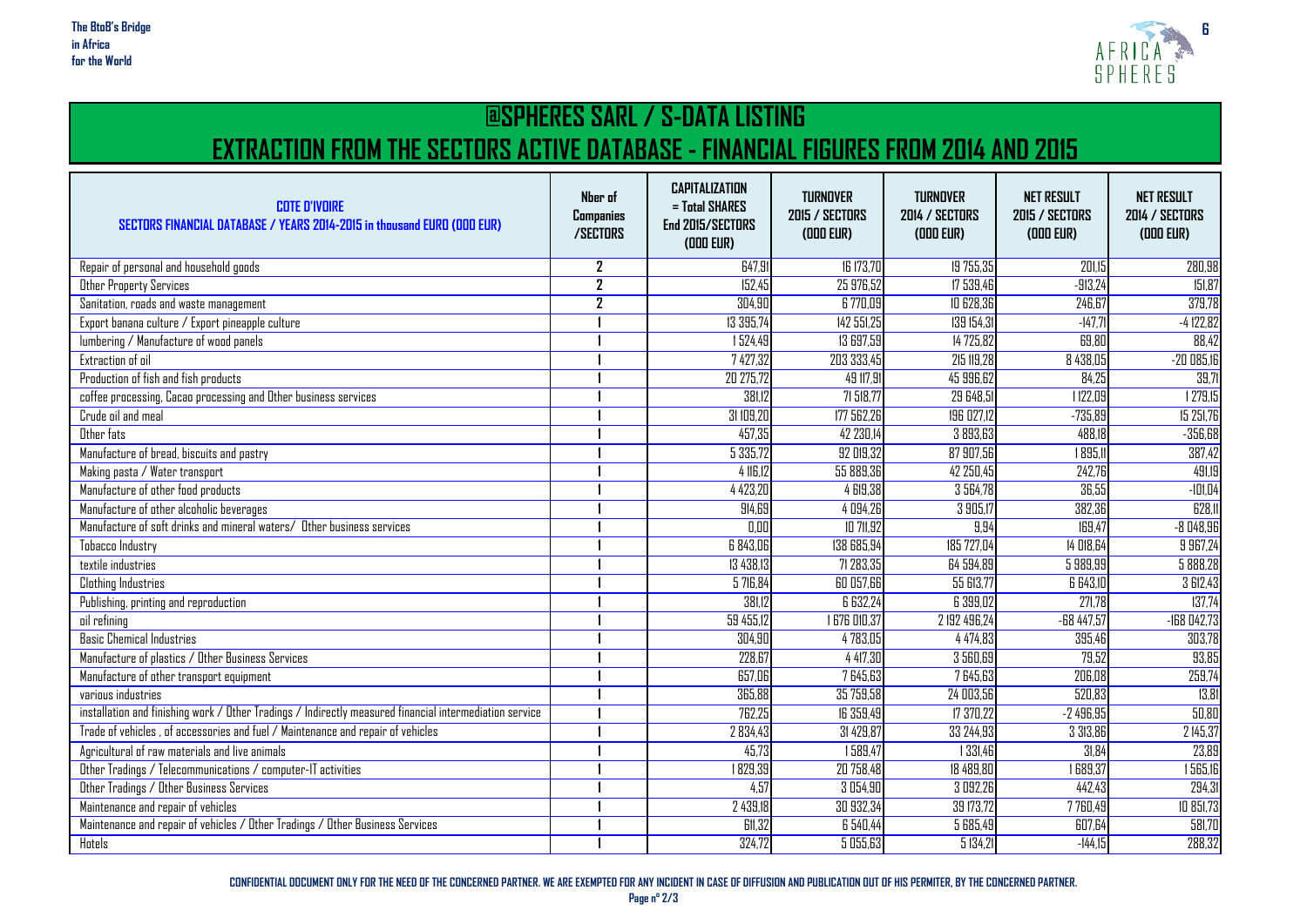

## **@SPHERES SARL / S-DATA LISTING EXTRACTION FROM THE SECTORS ACTIVE DATABASE - FINANCIAL FIGURES FROM 2014 AND 2015**

| <b>COTE D'IVOIRE</b><br>SECTORS FINANCIAL DATABASE / YEARS 2014-2015 in thousand EURO (DDD EUR)         | Nber of<br>Companies<br>/SECTORS | <b>CAPITALIZATION</b><br>= Total SHARES<br>End 2015/SECTORS<br>(DDD EUR) | <b>TURNOVER</b><br>2015 / SECTORS<br>(ODD EUR) | <b>TURNOVER</b><br><b>2014 / SECTORS</b><br>(ODD EUR) | <b>NET RESULT</b><br><b>2015 / SECTORS</b><br>(ODD EUR) | <b>NET RESULT</b><br><b>2014 / SECTORS</b><br>(ODD EUR) |
|---------------------------------------------------------------------------------------------------------|----------------------------------|--------------------------------------------------------------------------|------------------------------------------------|-------------------------------------------------------|---------------------------------------------------------|---------------------------------------------------------|
| Repair of personal and household goods                                                                  | 2                                | 647,91                                                                   | 16 173,70                                      | 19 755,35                                             | 201,15                                                  | 280,98                                                  |
| Other Property Services                                                                                 | $\overline{2}$                   | 152.45                                                                   | 25 976.52                                      | 17 539.46                                             | $-913.24$                                               | 151,87                                                  |
| Sanitation, roads and waste management                                                                  | 2                                | 304,90                                                                   | 6 770,09                                       | 10 628,36                                             | 246, 67                                                 | 379,78                                                  |
| Export banana culture / Export pineapple culture                                                        |                                  | 13 395,74                                                                | 142 551,25                                     | 139 154,31                                            | $-147.7$                                                | $-4122,82$                                              |
| lumbering / Manufacture of wood panels                                                                  |                                  | 1524,49                                                                  | 13 697,59                                      | 14 725,82                                             | 69,80                                                   | 88,42                                                   |
| Extraction of oil                                                                                       |                                  | 7 427,32                                                                 | 203 333,45                                     | 215 119.28                                            | 8 438,05                                                | $-200085,16$                                            |
| Production of fish and fish products                                                                    |                                  | 20 275,72                                                                | 49 117,91                                      | 45 996,62                                             | 84,25                                                   | 39,71                                                   |
| coffee processing, Cacao processing and Other business services                                         |                                  | 381,12                                                                   | 71 518,77                                      | 29 648,5                                              | 1122,09                                                 | 1279,15                                                 |
| Crude oil and meal                                                                                      |                                  | 31 109,20                                                                | 177 562.26                                     | 196 027.12                                            | $-735,89$                                               | 15 251,76                                               |
| Other fats                                                                                              |                                  | 457,35                                                                   | 42 230,14                                      | 3 893,63                                              | 488,18                                                  | $-356,68$                                               |
| Manufacture of bread, biscuits and pastry                                                               |                                  | 5 3 3 5 7 2                                                              | 92 019.32                                      | 87 907.56                                             | 1895.1                                                  | 387,42                                                  |
| Making pasta / Water transport                                                                          |                                  | 4 116.12                                                                 | 55 889,36                                      | 42 250,45                                             | 242,76                                                  | 491,19                                                  |
| Manufacture of other food products                                                                      |                                  | 4 4 2 3 , 2 L                                                            | 4 619.38                                       | 3 564,78                                              | 36,55                                                   | $-101,04$                                               |
| Manufacture of other alcoholic beverages                                                                |                                  | 914,69                                                                   | 4 094,26                                       | 3905,17                                               | 382,3E                                                  | 628,11                                                  |
| Manufacture of soft drinks and mineral waters/ Other business services                                  |                                  | 0,00                                                                     | 10 711,92                                      | 9,94                                                  | 169,47                                                  | $-8048,96$                                              |
| Tobacco Industry                                                                                        |                                  | 6 843,0E                                                                 | 138 685,94                                     | 185 727,04                                            | 14 D18,64                                               | 9 967,24                                                |
| textile industries                                                                                      |                                  | 13 4 3 8.13                                                              | 71 283,35                                      | 64 594.89                                             | 5 989,99                                                | 5 888,28                                                |
| <b>Clothing Industries</b>                                                                              |                                  | 5 716,84                                                                 | 60 057,66                                      | 55 613,77                                             | 6 643,10                                                | 3 612,43                                                |
| Publishing, printing and reproduction                                                                   |                                  | 381,12                                                                   | 6 632,24                                       | 6 399,02                                              | 271,78                                                  | 137,74                                                  |
| oil refining                                                                                            |                                  | 59 455,12                                                                | <b>676 010,37</b>                              | 2 192 496,24                                          | $-68447,57$                                             | $-168042,73$                                            |
| <b>Basic Chemical Industries</b>                                                                        |                                  | 304,90                                                                   | 4783,05                                        | 4 4 7 4, 8 3                                          | 395,46                                                  | 303,78                                                  |
| Manufacture of plastics / Other Business Services                                                       |                                  | 228,67                                                                   | 4 417,30                                       | 3 560,69                                              | 79,52                                                   | 93,85                                                   |
| Manufacture of other transport equipment                                                                |                                  | 657,06                                                                   | 7645,63                                        | 7645,63                                               | 206,08                                                  | 259,74                                                  |
| various industries                                                                                      |                                  | 365,88                                                                   | 35 759,58                                      | 24 003,56                                             | 520,83                                                  | 13,81                                                   |
| installation and finishing work / Other Tradings / Indirectly measured financial intermediation service |                                  | 762.25                                                                   | <b>IG 359.49</b>                               | 17 370.22                                             | $-2496.95$                                              | 50,80                                                   |
| Trade of vehicles, of accessories and fuel / Maintenance and repair of vehicles                         |                                  | 2834,43                                                                  | 31 429,87                                      | 33 244,93                                             | 3 313,86                                                | 2 145,37                                                |
| Agricultural of raw materials and live animals                                                          |                                  | 45,73                                                                    | 1589,47                                        | 1 3 3 1,46                                            | 31.84                                                   | 23,89                                                   |
| Other Tradings / Telecommunications / computer-IT activities                                            |                                  | 1829,39                                                                  | 20 758,48                                      | 18 489,80                                             | 1689,37                                                 | 1565,16                                                 |
| Other Tradings / Other Business Services                                                                |                                  | 4,57                                                                     | 3 0 5 4,90                                     | 3 092,26                                              | 442,43                                                  | 294,31                                                  |
| Maintenance and repair of vehicles                                                                      |                                  | 2 439,18                                                                 | 30 932,34                                      | 39 173,72                                             | 7 760,49                                                | 10 851,73                                               |
| Maintenance and repair of vehicles / Other Tradings / Other Business Services                           |                                  | <b>G11,32</b>                                                            | 6 540,44                                       | 5 685,49                                              | 607,64                                                  | 581,70                                                  |
| Hotels                                                                                                  |                                  | 324,72                                                                   | 5 055,63                                       | 5134.21                                               | $-144,15$                                               | 288,32                                                  |

**CONFIDENTIAL DOCUMENT ONLY FOR THE NEED OF THE CONCERNED PARTNER. WE ARE EXEMPTED FOR ANY INCIDENT IN CASE OF DIFFUSION AND PUBLICATION OUT OF HIS PERMITER, BY THE CONCERNED PARTNER.**